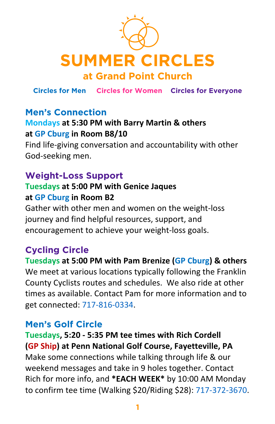

**Circles for Men Circles for Women Circles for Everyone**

## **Men's Connection**

#### **Mondays at 5:30 PM with Barry Martin & others at GP Cburg in Room B8/10**

Find life-giving conversation and accountability with other God-seeking men.

#### **Weight-Loss Support**

#### **Tuesdays at 5:00 PM with Genice Jaques at GP Cburg in Room B2**

Gather with other men and women on the weight-loss journey and find helpful resources, support, and encouragement to achieve your weight-loss goals.

## **Cycling Circle**

**Tuesdays at 5:00 PM with Pam Brenize (GP Cburg) & others** We meet at various locations typically following the Franklin County Cyclists routes and schedules. We also ride at other times as available. Contact Pam for more information and to get connected: 717-816-0334.

#### **Men's Golf Circle**

**Tuesdays, 5:20 - 5:35 PM tee times with Rich Cordell (GP Ship) at Penn National Golf Course, Fayetteville, PA** Make some connections while talking through life & our weekend messages and take in 9 holes together. Contact Rich for more info, and **\*EACH WEEK\*** by 10:00 AM Monday to confirm tee time (Walking \$20/Riding \$28): 717-372-3670.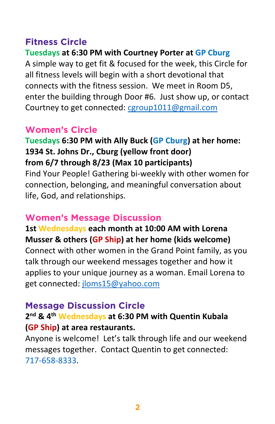## **Fitness Circle**

**Tuesdays at 6:30 PM with Courtney Porter at GP Cburg**

A simple way to get fit & focused for the week, this Circle for all fitness levels will begin with a short devotional that connects with the fitness session. We meet in Room D5, enter the building through Door #6. Just show up, or contact Courtney to get connected: cgroup1011@gmail.com

#### **Women's Circle**

**Tuesdays 6:30 PM with Ally Buck (GP Cburg) at her home: 1934 St. Johns Dr., Cburg (yellow front door) from 6/7 through 8/23 (Max 10 participants)** Find Your People! Gathering bi-weekly with other women for connection, belonging, and meaningful conversation about life, God, and relationships.

#### **Women's Message Discussion**

**1st Wednesdays each month at 10:00 AM with Lorena Musser & others (GP Ship) at her home (kids welcome)**

Connect with other women in the Grand Point family, as you talk through our weekend messages together and how it applies to your unique journey as a woman. Email Lorena to get connected: jloms15@yahoo.com

#### **Message Discussion Circle**

## **2nd & 4th Wednesdays at 6:30 PM with Quentin Kubala (GP Ship) at area restaurants.**

Anyone is welcome! Let's talk through life and our weekend messages together. Contact Quentin to get connected: 717-658-8333.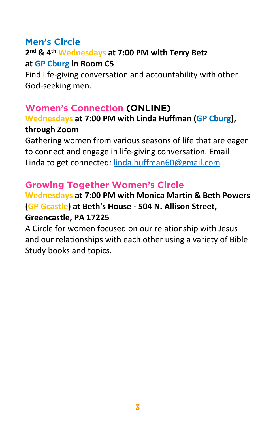

## **Men's Circle**

## **2nd & 4th Wednesdays at 7:00 PM with Terry Betz at GP Cburg in Room C5**

Find life-giving conversation and accountability with other God-seeking men.

Gathering women from various seasons of life that are eager to connect and engage in life-giving conversation. Email Linda to get connected: linda.huffman60@gmail.com

#### **Women's Connection (ONLINE)**

**Wednesdays at 7:00 PM with Linda Huffman (GP Cburg),** 

#### **through Zoom**

## **Growing Together Women's Circle**

#### **Wednesdays at 7:00 PM with Monica Martin & Beth Powers (GP Gcastle) at Beth's House - 504 N. Allison Street, Greencastle, PA 17225**

A Circle for women focused on our relationship with Jesus and our relationships with each other using a variety of Bible Study books and topics.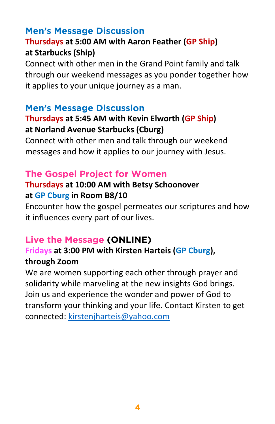## **Men's Message Discussion**

#### **Thursdays at 5:00 AM with Aaron Feather (GP Ship) at Starbucks (Ship)**

Connect with other men in the Grand Point family and talk through our weekend messages as you ponder together how it applies to your unique journey as a man.

#### **Men's Message Discussion**

#### **Thursdays at 5:45 AM with Kevin Elworth (GP Ship) at Norland Avenue Starbucks (Cburg)**

Connect with other men and talk through our weekend messages and how it applies to our journey with Jesus.

## **The Gospel Project for Women**

#### **Thursdays at 10:00 AM with Betsy Schoonover at GP Cburg in Room B8/10**

Encounter how the gospel permeates our scriptures and how it influences every part of our lives.

#### **Live the Message (ONLINE)**

#### **Fridays at 3:00 PM with Kirsten Harteis (GP Cburg), through Zoom**

We are women supporting each other through prayer and solidarity while marveling at the new insights God brings. Join us and experience the wonder and power of God to transform your thinking and your life. Contact Kirsten to get

#### connected: kirstenjharteis@yahoo.com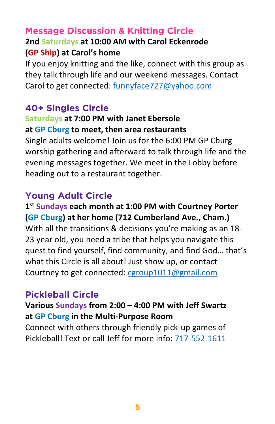## **Message Discussion & Knitting Circle**

#### **2nd Saturdays at 10:00 AM with Carol Eckenrode (GP Ship) at Carol's home**

If you enjoy knitting and the like, connect with this group as they talk through life and our weekend messages. Contact Carol to get connected: funnyface727@yahoo.com

## **40+ Singles Circle**

#### **Saturdays at 7:00 PM with Janet Ebersole at GP Cburg to meet, then area restaurants**

Single adults welcome! Join us for the 6:00 PM GP Cburg worship gathering and afterward to talk through life and the evening messages together. We meet in the Lobby before heading out to a restaurant together.

## **Young Adult Circle**

**1st Sundays each month at 1:00 PM with Courtney Porter (GP Cburg) at her home (712 Cumberland Ave., Cham.)** With all the transitions & decisions you're making as an 18- 23 year old, you need a tribe that helps you navigate this quest to find yourself, find community, and find God… that's what this Circle is all about! Just show up, or contact Courtney to get connected: cgroup1011@gmail.com

#### **Pickleball Circle Various Sundays from 2:00 – 4:00 PM with Jeff Swartz**

#### **at GP Cburg in the Multi-Purpose Room**

Connect with others through friendly pick-up games of Pickleball! Text or call Jeff for more info: 717-552-1611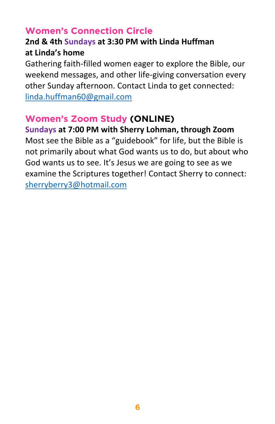## **Women's Connection Circle**

## **2nd & 4th Sundays at 3:30 PM with Linda Huffman at Linda's home**

Gathering faith-filled women eager to explore the Bible, our weekend messages, and other life-giving conversation every other Sunday afternoon. Contact Linda to get connected: linda.huffman60@gmail.com

## **Women's Zoom Study (ONLINE)**

**Sundays at 7:00 PM with Sherry Lohman, through Zoom** Most see the Bible as a "guidebook" for life, but the Bible is not primarily about what God wants us to do, but about who God wants us to see. It's Jesus we are going to see as we examine the Scriptures together! Contact Sherry to connect: sherryberry3@hotmail.com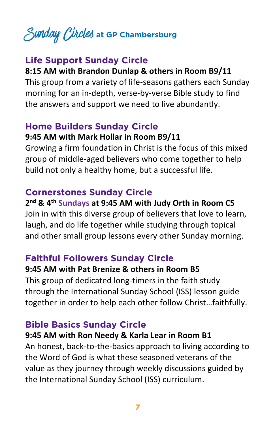# Sunday Circles **at GP Chambersburg**

## **Life Support Sunday Circle**

#### **8:15 AM with Brandon Dunlap & others in Room B9/11**

This group from a variety of life-seasons gathers each Sunday morning for an in-depth, verse-by-verse Bible study to find the answers and support we need to live abundantly.

#### **Home Builders Sunday Circle 9:45 AM with Mark Hollar in Room B9/11**

Growing a firm foundation in Christ is the focus of this mixed group of middle-aged believers who come together to help build not only a healthy home, but a successful life.

#### **Cornerstones Sunday Circle**

#### **2nd & 4th Sundays at 9:45 AM with Judy Orth in Room C5**

Join in with this diverse group of believers that love to learn, laugh, and do life together while studying through topical and other small group lessons every other Sunday morning.

## **Faithful Followers Sunday Circle**

#### **9:45 AM with Pat Brenize & others in Room B5**

This group of dedicated long-timers in the faith study through the International Sunday School (ISS) lesson guide together in order to help each other follow Christ…faithfully.

**Bible Basics Sunday Circle 9:45 AM with Ron Needy & Karla Lear in Room B1**  An honest, back-to-the-basics approach to living according to the Word of God is what these seasoned veterans of the value as they journey through weekly discussions guided by the International Sunday School (ISS) curriculum.